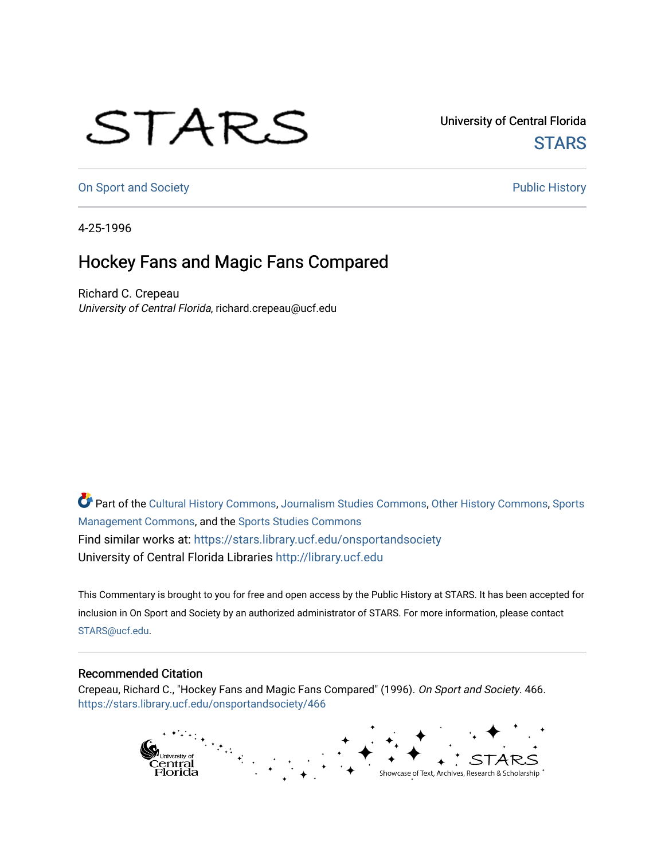## STARS

University of Central Florida **STARS** 

[On Sport and Society](https://stars.library.ucf.edu/onsportandsociety) **Public History** Public History

4-25-1996

## Hockey Fans and Magic Fans Compared

Richard C. Crepeau University of Central Florida, richard.crepeau@ucf.edu

Part of the [Cultural History Commons](http://network.bepress.com/hgg/discipline/496?utm_source=stars.library.ucf.edu%2Fonsportandsociety%2F466&utm_medium=PDF&utm_campaign=PDFCoverPages), [Journalism Studies Commons,](http://network.bepress.com/hgg/discipline/333?utm_source=stars.library.ucf.edu%2Fonsportandsociety%2F466&utm_medium=PDF&utm_campaign=PDFCoverPages) [Other History Commons,](http://network.bepress.com/hgg/discipline/508?utm_source=stars.library.ucf.edu%2Fonsportandsociety%2F466&utm_medium=PDF&utm_campaign=PDFCoverPages) [Sports](http://network.bepress.com/hgg/discipline/1193?utm_source=stars.library.ucf.edu%2Fonsportandsociety%2F466&utm_medium=PDF&utm_campaign=PDFCoverPages) [Management Commons](http://network.bepress.com/hgg/discipline/1193?utm_source=stars.library.ucf.edu%2Fonsportandsociety%2F466&utm_medium=PDF&utm_campaign=PDFCoverPages), and the [Sports Studies Commons](http://network.bepress.com/hgg/discipline/1198?utm_source=stars.library.ucf.edu%2Fonsportandsociety%2F466&utm_medium=PDF&utm_campaign=PDFCoverPages) Find similar works at: <https://stars.library.ucf.edu/onsportandsociety> University of Central Florida Libraries [http://library.ucf.edu](http://library.ucf.edu/) 

This Commentary is brought to you for free and open access by the Public History at STARS. It has been accepted for inclusion in On Sport and Society by an authorized administrator of STARS. For more information, please contact [STARS@ucf.edu](mailto:STARS@ucf.edu).

## Recommended Citation

Crepeau, Richard C., "Hockey Fans and Magic Fans Compared" (1996). On Sport and Society. 466. [https://stars.library.ucf.edu/onsportandsociety/466](https://stars.library.ucf.edu/onsportandsociety/466?utm_source=stars.library.ucf.edu%2Fonsportandsociety%2F466&utm_medium=PDF&utm_campaign=PDFCoverPages)

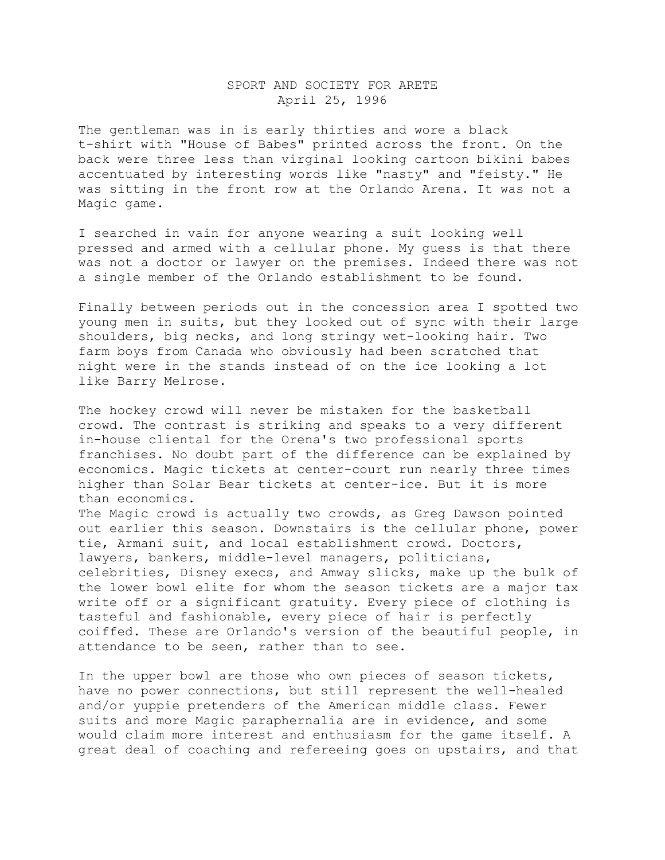## SPORT AND SOCIETY FOR ARETE April 25, 1996

The gentleman was in is early thirties and wore a black t-shirt with "House of Babes" printed across the front. On the back were three less than virginal looking cartoon bikini babes accentuated by interesting words like "nasty" and "feisty." He was sitting in the front row at the Orlando Arena. It was not a Magic game.

I searched in vain for anyone wearing a suit looking well pressed and armed with a cellular phone. My guess is that there was not a doctor or lawyer on the premises. Indeed there was not a single member of the Orlando establishment to be found.

Finally between periods out in the concession area I spotted two young men in suits, but they looked out of sync with their large shoulders, big necks, and long stringy wet-looking hair. Two farm boys from Canada who obviously had been scratched that night were in the stands instead of on the ice looking a lot like Barry Melrose.

The hockey crowd will never be mistaken for the basketball crowd. The contrast is striking and speaks to a very different in-house cliental for the Orena's two professional sports franchises. No doubt part of the difference can be explained by economics. Magic tickets at center-court run nearly three times higher than Solar Bear tickets at center-ice. But it is more than economics.

The Magic crowd is actually two crowds, as Greg Dawson pointed out earlier this season. Downstairs is the cellular phone, power tie, Armani suit, and local establishment crowd. Doctors, lawyers, bankers, middle-level managers, politicians, celebrities, Disney execs, and Amway slicks, make up the bulk of the lower bowl elite for whom the season tickets are a major tax write off or a significant gratuity. Every piece of clothing is tasteful and fashionable, every piece of hair is perfectly coiffed. These are Orlando's version of the beautiful people, in attendance to be seen, rather than to see.

In the upper bowl are those who own pieces of season tickets, have no power connections, but still represent the well-healed and/or yuppie pretenders of the American middle class. Fewer suits and more Magic paraphernalia are in evidence, and some would claim more interest and enthusiasm for the game itself. A great deal of coaching and refereeing goes on upstairs, and that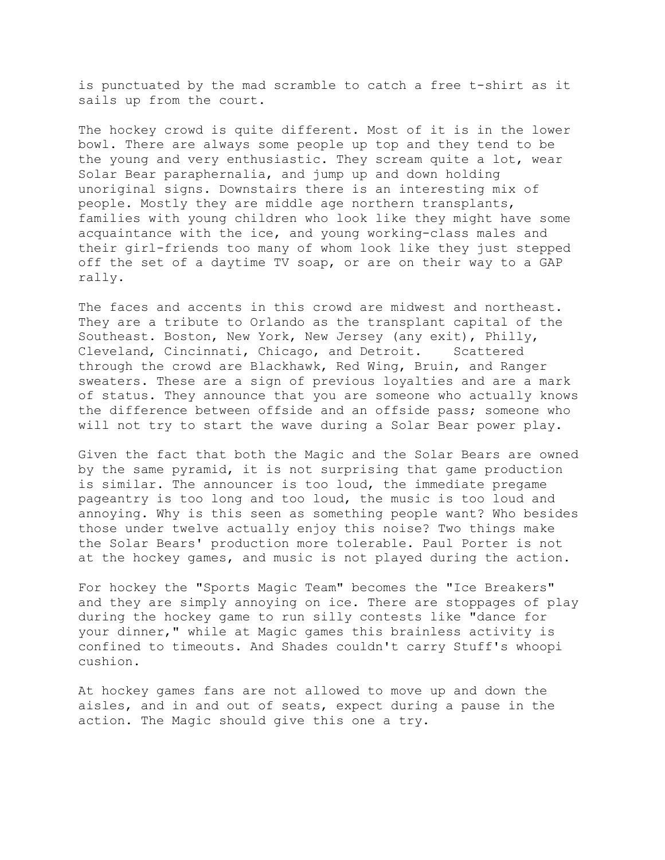is punctuated by the mad scramble to catch a free t-shirt as it sails up from the court.

The hockey crowd is quite different. Most of it is in the lower bowl. There are always some people up top and they tend to be the young and very enthusiastic. They scream quite a lot, wear Solar Bear paraphernalia, and jump up and down holding unoriginal signs. Downstairs there is an interesting mix of people. Mostly they are middle age northern transplants, families with young children who look like they might have some acquaintance with the ice, and young working-class males and their girl-friends too many of whom look like they just stepped off the set of a daytime TV soap, or are on their way to a GAP rally.

The faces and accents in this crowd are midwest and northeast. They are a tribute to Orlando as the transplant capital of the Southeast. Boston, New York, New Jersey (any exit), Philly, Cleveland, Cincinnati, Chicago, and Detroit. Scattered through the crowd are Blackhawk, Red Wing, Bruin, and Ranger sweaters. These are a sign of previous loyalties and are a mark of status. They announce that you are someone who actually knows the difference between offside and an offside pass; someone who will not try to start the wave during a Solar Bear power play.

Given the fact that both the Magic and the Solar Bears are owned by the same pyramid, it is not surprising that game production is similar. The announcer is too loud, the immediate pregame pageantry is too long and too loud, the music is too loud and annoying. Why is this seen as something people want? Who besides those under twelve actually enjoy this noise? Two things make the Solar Bears' production more tolerable. Paul Porter is not at the hockey games, and music is not played during the action.

For hockey the "Sports Magic Team" becomes the "Ice Breakers" and they are simply annoying on ice. There are stoppages of play during the hockey game to run silly contests like "dance for your dinner," while at Magic games this brainless activity is confined to timeouts. And Shades couldn't carry Stuff's whoopi cushion.

At hockey games fans are not allowed to move up and down the aisles, and in and out of seats, expect during a pause in the action. The Magic should give this one a try.